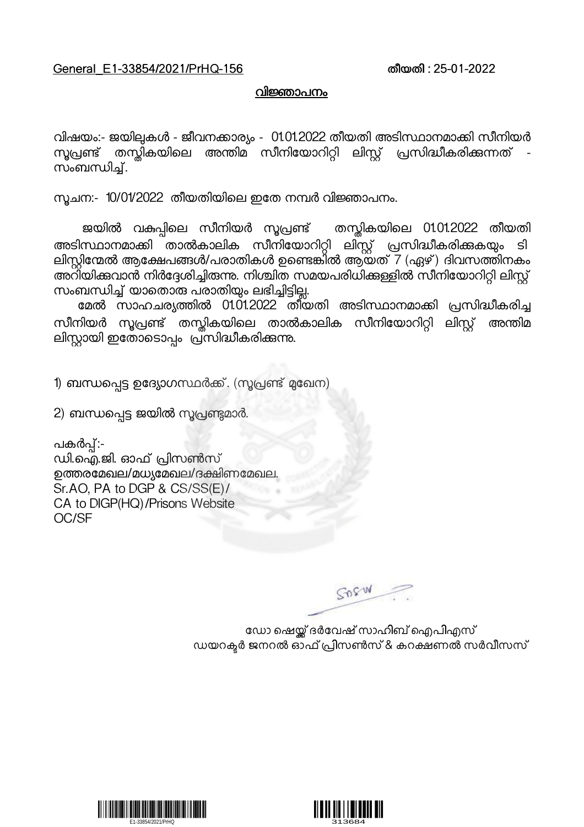## General\_E1-33854/2021/PrHQ-156 തീയതി : 25-01-2022

## വിജ്ഞാപനം

വിഷയം:- ജയിലുകൾ - ജീവനക്കാര്യം - 01.01.2022 തീയതി അടിസ്ഥാനമാക്കി സീനിയർ<br>സുപ്രണ്ട് തസ്കികയിലെ അന്തിമ സീനിയോറിറ്റി ലിസ്റ്റ് പ്രസിദ്ധീകരിക്കുന്നത് -സൂപ്രണ്ട് തസ്തികയിലെ അന്തിമ സീനിയോറിറ്റി ലിസ്റ്റ് പ്രസിദ്ധീകരിക്കുന്നത്<br>സംബന്ധിച്.

സൂചന:- 10/01/2022 തീയതിയിലെ ഇതേ നമ്പർ വിജ്ഞാപനം.

ജയിൽ വകുപ്പിലെ സീനിയർ സൂപ്രണ്ട് തന്റ്ലികയിലെ 01.01.2022 തീയതി അടിസ്ഥാനമാക്കി താൽകാലിക സീനിയോറിറ്റി ലിസ്റ്റ് പ്രസിദ്ധീകരിക്കുകയും ടി<br>ലിസ്റ്റിന്മേൽത്തക്ഷേപങ്ങൾ/പരാതികൾ  ഉണ്ടെങ്കിൽ ആയത് 7 (ഏഴ്) ദിവസത്തിനകം അറിയിക്കവാൻ നിർദ്ദേശിച്ചിരുന്നു. നിശ്ചിത സമയപരിധിക്കള്ളിൽ സീനിയോറിറ്റി ലിസ്റ്റ്<br>സംബന്ധിച്ച് യാതൊരു പരാതിയും ലഭിച്ചിട്ടില്ല.

മേൽ സാഹചര്യത്തിൽ 01.01.2022 തീയതി അടിസ്ഥാനമാക്കി പ്രസിദ്ധീകരിച്ച സീനിയർ സൂപ്രണ്ട് തസ്കികയിലെ താൽകാലിക സീനിയോറിറ്റി ലിസ്റ്റ് അന്തിമ ലിസ്റ്റായി ഇതോടൊപ്പം പ്രസിദ്ധീകരിക്കന്നു.

1) ബന്ധപ്പെട്ട ഉദ്യോഗസ്ഥർക്ക്. (സൂപ്രണ്ട് മുഖേന)

2) ബന്ധപ്പെട്ട ജയിൽ സൂപ്രണ്ടുമാർ.

പകർപ്പ്:-<br>ഡി.ഐ.ജി. ഓഫ് പ്രിസൺസ് ഉത്തരമേഖല/മധ്യമേഖല/ദക്ഷിണമേഖല. Sr.AO, PA to DGP & CS/SS(E)/ CA to DIGP(HQ)/Prisons Website OC/SF

GOSW

ഡോ ഷെയ്ക് ദർവേഷ് സാഹിബ് ഐപിഎസ് ഡയറക്ടർ ജനറൽ ഓഫ് പ്രിസൺസ് & കറക്ഷണൽ സർവീസസ്